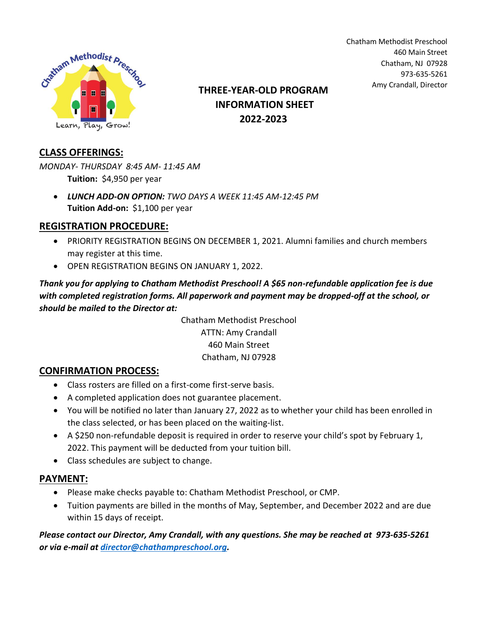

Amy Crandall, Director **THREE-YEAR-OLD PROGRAM INFORMATION SHEET 2022-2023**

Chatham Methodist Preschool 460 Main Street Chatham, NJ 07928 973-635-5261

## **CLASS OFFERINGS:**

*MONDAY- THURSDAY 8:45 AM- 11:45 AM* **Tuition:** \$4,950 per year

• *LUNCH ADD-ON OPTION: TWO DAYS A WEEK 11:45 AM-12:45 PM* **Tuition Add-on:** \$1,100 per year

## **REGISTRATION PROCEDURE:**

- PRIORITY REGISTRATION BEGINS ON DECEMBER 1, 2021. Alumni families and church members may register at this time.
- OPEN REGISTRATION BEGINS ON JANUARY 1, 2022.

*Thank you for applying to Chatham Methodist Preschool! A \$65 non-refundable application fee is due with completed registration forms. All paperwork and payment may be dropped-off at the school, or should be mailed to the Director at:*

> Chatham Methodist Preschool ATTN: Amy Crandall 460 Main Street Chatham, NJ 07928

## **CONFIRMATION PROCESS:**

- Class rosters are filled on a first-come first-serve basis.
- A completed application does not guarantee placement.
- You will be notified no later than January 27, 2022 as to whether your child has been enrolled in the class selected, or has been placed on the waiting-list.
- A \$250 non-refundable deposit is required in order to reserve your child's spot by February 1, 2022. This payment will be deducted from your tuition bill.
- Class schedules are subject to change.

## **PAYMENT:**

- Please make checks payable to: Chatham Methodist Preschool, or CMP.
- Tuition payments are billed in the months of May, September, and December 2022 and are due within 15 days of receipt.

*Please contact our Director, Amy Crandall, with any questions. She may be reached at 973-635-5261 or via e-mail at [director@chathampreschool.org.](mailto:director@chathampreschool.org)*